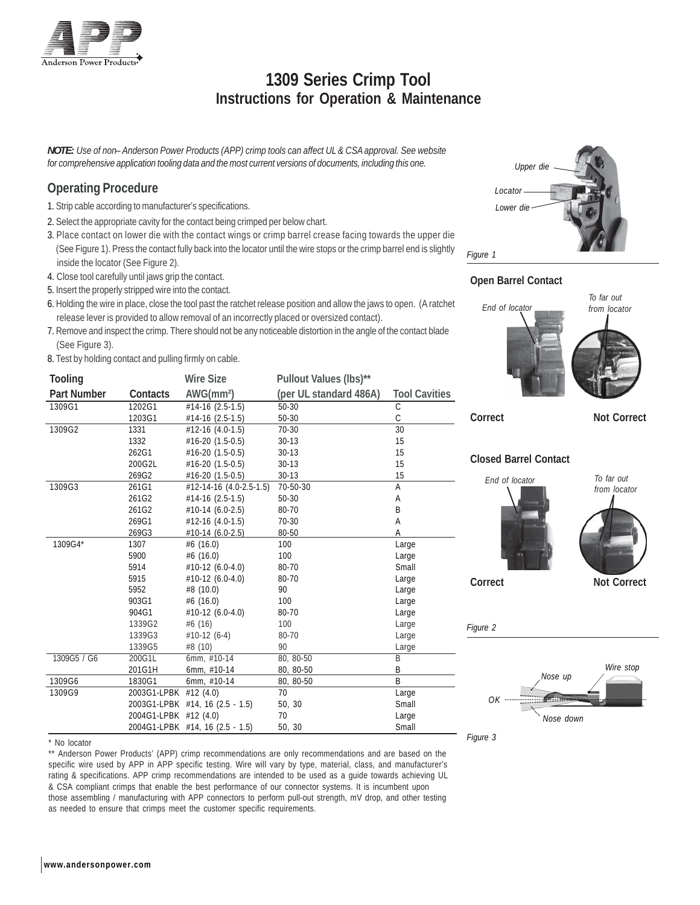

# **1309 Series Crimp Tool Instructions for Operation & Maintenance**

*NOTE: Use of non– Anderson Power Products (APP) crimp tools can affect UL & CSA approval. See website for comprehensive application tooling data and the most current versions of documents, including this one.*

#### **Operating Procedure**

- 1. Strip cable according to manufacturer's specifications.
- 2. Select the appropriate cavity for the contact being crimped per below chart.
- 3. Place contact on lower die with the contact wings or crimp barrel crease facing towards the upper die (See Figure 1). Press the contact fully back into the locator until the wire stops or the crimp barrel end is slightly inside the locator (See Figure 2).
- 4. Close tool carefully until jaws grip the contact.
- 5. Insert the properly stripped wire into the contact.
- 6. Holding the wire in place, close the tool past the ratchet release position and allow the jaws to open. (A ratchet release lever is provided to allow removal of an incorrectly placed or oversized contact).
- 7. Remove and inspect the crimp. There should not be any noticeable distortion in the angle of the contact blade (See Figure 3).
- 8. Test by holding contact and pulling firmly on cable.

| <b>Tooling</b> |                       | <b>Wire Size</b>                | Pullout Values (lbs)** |                         |
|----------------|-----------------------|---------------------------------|------------------------|-------------------------|
| Part Number    | Contacts              | AWG(mm <sup>2</sup> )           | (per UL standard 486A) | <b>Tool Cavities</b>    |
| 1309G1         | 1202G1                | $#14-16(2.5-1.5)$               | 50-30                  | $\mathsf C$             |
|                | 1203G1                | #14-16 (2.5-1.5)                | 50-30                  | $\mathcal{C}$           |
| 1309G2         | 1331                  | $#12-16(4.0-1.5)$               | $70-30$                | 30                      |
|                | 1332                  | #16-20 (1.5-0.5)                | $30 - 13$              | 15                      |
|                | 262G1                 | #16-20 (1.5-0.5)                | $30 - 13$              | 15                      |
|                | 200G2L                | #16-20 (1.5-0.5)                | $30 - 13$              | 15                      |
|                | 269G2                 | #16-20 (1.5-0.5)                | $30 - 13$              | 15                      |
| 1309G3         | 261G1                 | #12-14-16 (4.0-2.5-1.5)         | 70-50-30               | A                       |
|                | 261G2                 | $#14-16(2.5-1.5)$               | 50-30                  | Α                       |
|                | 261G2                 | #10-14 (6.0-2.5)                | 80-70                  | B                       |
|                | 269G1                 | #12-16 (4.0-1.5)                | 70-30                  | A                       |
|                | 269G3                 | #10-14 (6.0-2.5)                | 80-50                  | A                       |
| 1309G4*        | 1307                  | #6 $(16.0)$                     | 100                    | Large                   |
|                | 5900                  | #6 $(16.0)$                     | 100                    | Large                   |
|                | 5914                  | #10-12 (6.0-4.0)                | 80-70                  | Small                   |
|                | 5915                  | $#10-12(6.0-4.0)$               | 80-70                  | Large                   |
|                | 5952                  | #8 (10.0)                       | 90                     | Large                   |
|                | 903G1                 | #6 (16.0)                       | 100                    | Large                   |
|                | 904G1                 | #10-12 (6.0-4.0)                | 80-70                  | Large                   |
|                | 1339G2                | #6(16)                          | 100                    | Large                   |
|                | 1339G3                | #10-12 (6-4)                    | 80-70                  | Large                   |
|                | 1339G5                | #8 (10)                         | 90                     | Large                   |
| 1309G5 / G6    | 200G1L                | 6mm, #10-14                     | 80, 80-50              | $\overline{\mathsf{B}}$ |
|                | 201G1H                | 6mm, #10-14                     | 80, 80-50              | B                       |
| 1309G6         | 1830G1                | 6mm, #10-14                     | 80, 80-50              | B                       |
| 1309G9         | 2003G1-LPBK #12 (4.0) |                                 | 70                     | Large                   |
|                |                       | 2003G1-LPBK #14, 16 (2.5 - 1.5) | 50, 30                 | Small                   |
|                | 2004G1-LPBK #12 (4.0) |                                 | 70                     | Large                   |
|                |                       | 2004G1-LPBK #14, 16 (2.5 - 1.5) | 50, 30                 | Small                   |



\*\* Anderson Power Products' (APP) crimp recommendations are only recommendations and are based on the specific wire used by APP in APP specific testing. Wire will vary by type, material, class, and manufacturer's rating & specifications. APP crimp recommendations are intended to be used as a guide towards achieving UL & CSA compliant crimps that enable the best performance of our connector systems. It is incumbent upon those assembling / manufacturing with APP connectors to perform pull-out strength, mV drop, and other testing as needed to ensure that crimps meet the customer specific requirements.











**Correct Not Correct** 





*Figure 3*